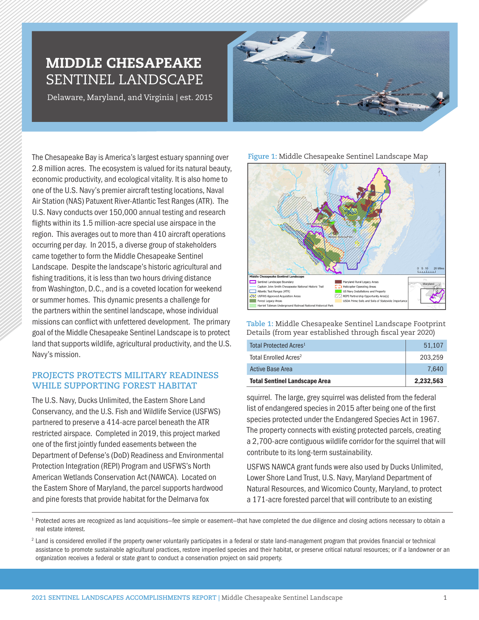# MIDDLE CHESAPEAKE SENTINEL LANDSCAPE

Delaware, Maryland, and Virginia | est. 2015



The Chesapeake Bay is America's largest estuary spanning over 2.8 million acres. The ecosystem is valued for its natural beauty, economic productivity, and ecological vitality. It is also home to one of the U.S. Navy's premier aircraft testing locations, Naval Air Station (NAS) Patuxent River-Atlantic Test Ranges (ATR). The U.S. Navy conducts over 150,000 annual testing and research flights within its 1.5 million-acre special use airspace in the region. This averages out to more than 410 aircraft operations occurring per day. In 2015, a diverse group of stakeholders came together to form the Middle Chesapeake Sentinel Landscape. Despite the landscape's historic agricultural and fishing traditions, it is less than two hours driving distance from Washington, D.C., and is a coveted location for weekend or summer homes. This dynamic presents a challenge for the partners within the sentinel landscape, whose individual missions can conflict with unfettered development. The primary goal of the Middle Chesapeake Sentinel Landscape is to protect land that supports wildlife, agricultural productivity, and the U.S. Navy's mission.

# **PROJECTS PROTECTS MILITARY READINESS WHILE SUPPORTING FOREST HABITAT**

The U.S. Navy, Ducks Unlimited, the Eastern Shore Land Conservancy, and the U.S. Fish and Wildlife Service (USFWS) partnered to preserve a 414-acre parcel beneath the ATR restricted airspace. Completed in 2019, this project marked one of the first jointly funded easements between the Department of Defense's (DoD) Readiness and Environmental Protection Integration (REPI) Program and USFWS's North American Wetlands Conservation Act (NAWCA). Located on the Eastern Shore of Maryland, the parcel supports hardwood and pine forests that provide habitat for the Delmarva fox

### **Figure 1:** Middle Chesapeake Sentinel Landscape Map



**Table 1:** Middle Chesapeake Sentinel Landscape Footprint Details (from year established through fiscal year 2020)

| Total Protected Acres <sup>1</sup>   | 51.107    |
|--------------------------------------|-----------|
| Total Enrolled Acres <sup>2</sup>    | 203.259   |
| <b>Active Base Area</b>              | 7.640     |
| <b>Total Sentinel Landscape Area</b> | 2,232,563 |

squirrel. The large, grey squirrel was delisted from the federal list of endangered species in 2015 after being one of the first species protected under the Endangered Species Act in 1967. The property connects with existing protected parcels, creating a 2,700-acre contiguous wildlife corridor for the squirrel that will contribute to its long-term sustainability.

USFWS NAWCA grant funds were also used by Ducks Unlimited, Lower Shore Land Trust, U.S. Navy, Maryland Department of Natural Resources, and Wicomico County, Maryland, to protect a 171-acre forested parcel that will contribute to an existing

<sup>1</sup> Protected acres are recognized as land acquisitions–fee simple or easement–that have completed the due diligence and closing actions necessary to obtain a real estate interest.

<sup>2</sup> Land is considered enrolled if the property owner voluntarily participates in a federal or state land-management program that provides financial or technical assistance to promote sustainable agricultural practices, restore imperiled species and their habitat, or preserve critical natural resources; or if a landowner or an organization receives a federal or state grant to conduct a conservation project on said property.